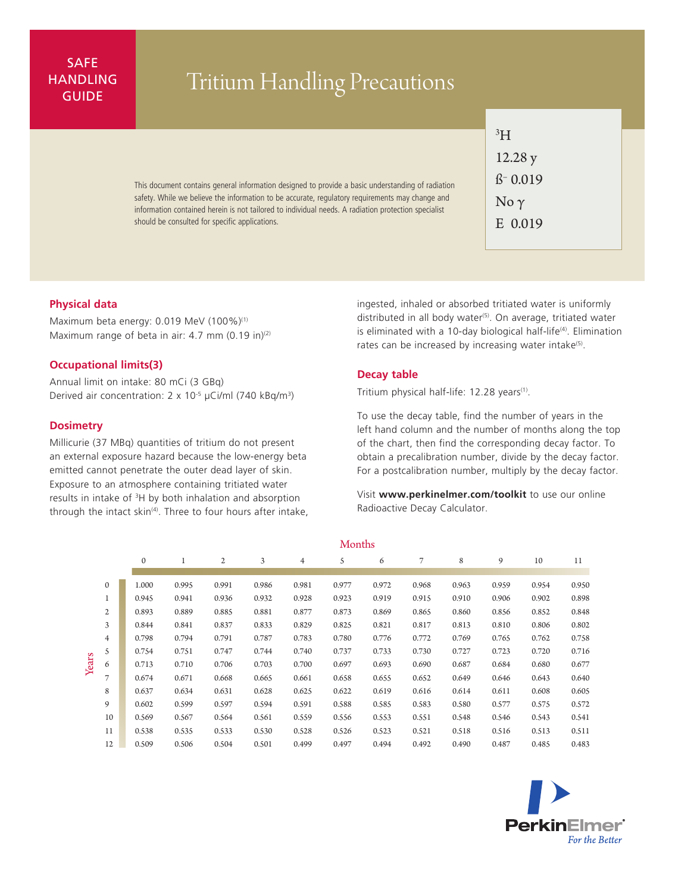## SAFE **HANDLING**

# ANDLING Tritium Handling Precautions

This document contains general information designed to provide a basic understanding of radiation safety. While we believe the information to be accurate, regulatory requirements may change and information contained herein is not tailored to individual needs. A radiation protection specialist should be consulted for specific applications.

| зH                         |
|----------------------------|
| 12.28y                     |
| $\beta$ <sup>-</sup> 0.019 |
| No $\gamma$                |
| E 0.019                    |

#### **Physical data**

Maximum beta energy: 0.019 MeV (100%)<sup>(1)</sup> Maximum range of beta in air:  $4.7$  mm (0.19 in)<sup>(2)</sup>

#### **Occupational limits(3)**

Annual limit on intake: 80 mCi (3 GBq) Derived air concentration: 2 x 10-5 µCi/ml (740 kBq/m3)

#### **Dosimetry**

Millicurie (37 MBq) quantities of tritium do not present an external exposure hazard because the low-energy beta emitted cannot penetrate the outer dead layer of skin. Exposure to an atmosphere containing tritiated water results in intake of <sup>3</sup>H by both inhalation and absorption through the intact skin<sup>(4)</sup>. Three to four hours after intake,

ingested, inhaled or absorbed tritiated water is uniformly distributed in all body water<sup>(5)</sup>. On average, tritiated water is eliminated with a 10-day biological half-life<sup>(4)</sup>. Elimination rates can be increased by increasing water intake<sup>(5)</sup>.

#### **Decay table**

Tritium physical half-life: 12.28 years<sup>(1)</sup>.

To use the decay table, find the number of years in the left hand column and the number of months along the top of the chart, then find the corresponding decay factor. To obtain a precalibration number, divide by the decay factor. For a postcalibration number, multiply by the decay factor.

Visit **www.perkinelmer.com/toolkit** to use our online Radioactive Decay Calculator.

|       |                |              | MONTUS |              |       |                |       |       |       |       |       |       |       |
|-------|----------------|--------------|--------|--------------|-------|----------------|-------|-------|-------|-------|-------|-------|-------|
|       |                | $\mathbf{0}$ | 1      | $\mathbf{2}$ | 3     | $\overline{4}$ | 5     | 6     | 7     | 8     | 9     | 10    | 11    |
|       |                |              |        |              |       |                |       |       |       |       |       |       |       |
| Years | $\mathbf{0}$   | 1.000        | 0.995  | 0.991        | 0.986 | 0.981          | 0.977 | 0.972 | 0.968 | 0.963 | 0.959 | 0.954 | 0.950 |
|       | $\mathbf{1}$   | 0.945        | 0.941  | 0.936        | 0.932 | 0.928          | 0.923 | 0.919 | 0.915 | 0.910 | 0.906 | 0.902 | 0.898 |
|       | $\overline{2}$ | 0.893        | 0.889  | 0.885        | 0.881 | 0.877          | 0.873 | 0.869 | 0.865 | 0.860 | 0.856 | 0.852 | 0.848 |
|       | 3              | 0.844        | 0.841  | 0.837        | 0.833 | 0.829          | 0.825 | 0.821 | 0.817 | 0.813 | 0.810 | 0.806 | 0.802 |
|       | $\overline{4}$ | 0.798        | 0.794  | 0.791        | 0.787 | 0.783          | 0.780 | 0.776 | 0.772 | 0.769 | 0.765 | 0.762 | 0.758 |
|       | 5              | 0.754        | 0.751  | 0.747        | 0.744 | 0.740          | 0.737 | 0.733 | 0.730 | 0.727 | 0.723 | 0.720 | 0.716 |
|       | 6              | 0.713        | 0.710  | 0.706        | 0.703 | 0.700          | 0.697 | 0.693 | 0.690 | 0.687 | 0.684 | 0.680 | 0.677 |
|       | 7              | 0.674        | 0.671  | 0.668        | 0.665 | 0.661          | 0.658 | 0.655 | 0.652 | 0.649 | 0.646 | 0.643 | 0.640 |
|       | 8              | 0.637        | 0.634  | 0.631        | 0.628 | 0.625          | 0.622 | 0.619 | 0.616 | 0.614 | 0.611 | 0.608 | 0.605 |
|       | 9              | 0.602        | 0.599  | 0.597        | 0.594 | 0.591          | 0.588 | 0.585 | 0.583 | 0.580 | 0.577 | 0.575 | 0.572 |
|       | 10             | 0.569        | 0.567  | 0.564        | 0.561 | 0.559          | 0.556 | 0.553 | 0.551 | 0.548 | 0.546 | 0.543 | 0.541 |
|       | 11             | 0.538        | 0.535  | 0.533        | 0.530 | 0.528          | 0.526 | 0.523 | 0.521 | 0.518 | 0.516 | 0.513 | 0.511 |
|       | 12             | 0.509        | 0.506  | 0.504        | 0.501 | 0.499          | 0.497 | 0.494 | 0.492 | 0.490 | 0.487 | 0.485 | 0.483 |

Months